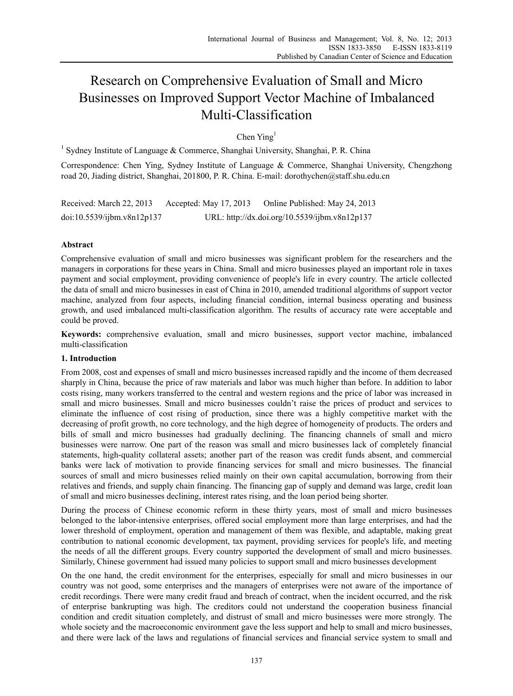# Research on Comprehensive Evaluation of Small and Micro Businesses on Improved Support Vector Machine of Imbalanced Multi-Classification

Chen Ying<sup>1</sup>

<sup>1</sup> Sydney Institute of Language & Commerce, Shanghai University, Shanghai, P. R. China

Correspondence: Chen Ying, Sydney Institute of Language & Commerce, Shanghai University, Chengzhong road 20, Jiading district, Shanghai, 201800, P. R. China. E-mail: dorothychen@staff.shu.edu.cn

Received: March 22, 2013 Accepted: May 17, 2013 Online Published: May 24, 2013 doi:10.5539/ijbm.v8n12p137 URL: http://dx.doi.org/10.5539/ijbm.v8n12p137

## **Abstract**

Comprehensive evaluation of small and micro businesses was significant problem for the researchers and the managers in corporations for these years in China. Small and micro businesses played an important role in taxes payment and social employment, providing convenience of people's life in every country. The article collected the data of small and micro businesses in east of China in 2010, amended traditional algorithms of support vector machine, analyzed from four aspects, including financial condition, internal business operating and business growth, and used imbalanced multi-classification algorithm. The results of accuracy rate were acceptable and could be proved.

**Keywords:** comprehensive evaluation, small and micro businesses, support vector machine, imbalanced multi-classification

## **1. Introduction**

From 2008, cost and expenses of small and micro businesses increased rapidly and the income of them decreased sharply in China, because the price of raw materials and labor was much higher than before. In addition to labor costs rising, many workers transferred to the central and western regions and the price of labor was increased in small and micro businesses. Small and micro businesses couldn't raise the prices of product and services to eliminate the influence of cost rising of production, since there was a highly competitive market with the decreasing of profit growth, no core technology, and the high degree of homogeneity of products. The orders and bills of small and micro businesses had gradually declining. The financing channels of small and micro businesses were narrow. One part of the reason was small and micro businesses lack of completely financial statements, high-quality collateral assets; another part of the reason was credit funds absent, and commercial banks were lack of motivation to provide financing services for small and micro businesses. The financial sources of small and micro businesses relied mainly on their own capital accumulation, borrowing from their relatives and friends, and supply chain financing. The financing gap of supply and demand was large, credit loan of small and micro businesses declining, interest rates rising, and the loan period being shorter.

During the process of Chinese economic reform in these thirty years, most of small and micro businesses belonged to the labor-intensive enterprises, offered social employment more than large enterprises, and had the lower threshold of employment, operation and management of them was flexible, and adaptable, making great contribution to national economic development, tax payment, providing services for people's life, and meeting the needs of all the different groups. Every country supported the development of small and micro businesses. Similarly, Chinese government had issued many policies to support small and micro businesses development

On the one hand, the credit environment for the enterprises, especially for small and micro businesses in our country was not good, some enterprises and the managers of enterprises were not aware of the importance of credit recordings. There were many credit fraud and breach of contract, when the incident occurred, and the risk of enterprise bankrupting was high. The creditors could not understand the cooperation business financial condition and credit situation completely, and distrust of small and micro businesses were more strongly. The whole society and the macroeconomic environment gave the less support and help to small and micro businesses, and there were lack of the laws and regulations of financial services and financial service system to small and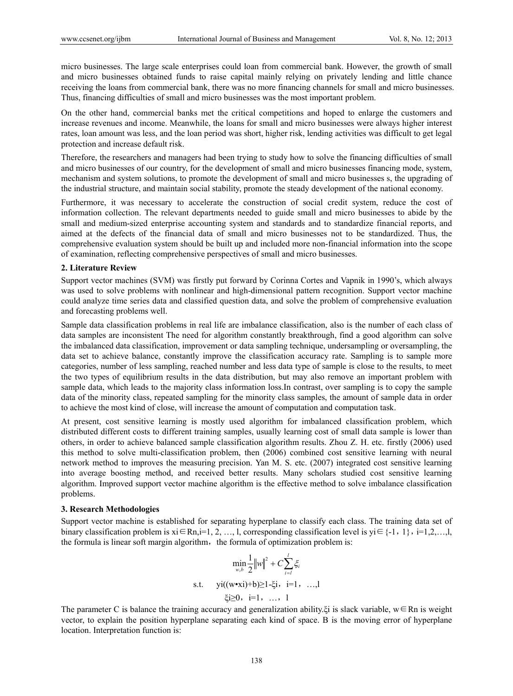micro businesses. The large scale enterprises could loan from commercial bank. However, the growth of small and micro businesses obtained funds to raise capital mainly relying on privately lending and little chance receiving the loans from commercial bank, there was no more financing channels for small and micro businesses. Thus, financing difficulties of small and micro businesses was the most important problem.

On the other hand, commercial banks met the critical competitions and hoped to enlarge the customers and increase revenues and income. Meanwhile, the loans for small and micro businesses were always higher interest rates, loan amount was less, and the loan period was short, higher risk, lending activities was difficult to get legal protection and increase default risk.

Therefore, the researchers and managers had been trying to study how to solve the financing difficulties of small and micro businesses of our country, for the development of small and micro businesses financing mode, system, mechanism and system solutions, to promote the development of small and micro businesses s, the upgrading of the industrial structure, and maintain social stability, promote the steady development of the national economy.

Furthermore, it was necessary to accelerate the construction of social credit system, reduce the cost of information collection. The relevant departments needed to guide small and micro businesses to abide by the small and medium-sized enterprise accounting system and standards and to standardize financial reports, and aimed at the defects of the financial data of small and micro businesses not to be standardized. Thus, the comprehensive evaluation system should be built up and included more non-financial information into the scope of examination, reflecting comprehensive perspectives of small and micro businesses.

#### **2. Literature Review**

Support vector machines (SVM) was firstly put forward by Corinna Cortes and Vapnik in 1990's, which always was used to solve problems with nonlinear and high-dimensional pattern recognition. Support vector machine could analyze time series data and classified question data, and solve the problem of comprehensive evaluation and forecasting problems well.

Sample data classification problems in real life are imbalance classification, also is the number of each class of data samples are inconsistent The need for algorithm constantly breakthrough, find a good algorithm can solve the imbalanced data classification, improvement or data sampling technique, undersampling or oversampling, the data set to achieve balance, constantly improve the classification accuracy rate. Sampling is to sample more categories, number of less sampling, reached number and less data type of sample is close to the results, to meet the two types of equilibrium results in the data distribution, but may also remove an important problem with sample data, which leads to the majority class information loss.In contrast, over sampling is to copy the sample data of the minority class, repeated sampling for the minority class samples, the amount of sample data in order to achieve the most kind of close, will increase the amount of computation and computation task.

At present, cost sensitive learning is mostly used algorithm for imbalanced classification problem, which distributed different costs to different training samples, usually learning cost of small data sample is lower than others, in order to achieve balanced sample classification algorithm results. Zhou Z. H. etc. firstly (2006) used this method to solve multi-classification problem, then (2006) combined cost sensitive learning with neural network method to improves the measuring precision. Yan M. S. etc. (2007) integrated cost sensitive learning into average boosting method, and received better results. Many scholars studied cost sensitive learning algorithm. Improved support vector machine algorithm is the effective method to solve imbalance classification problems.

#### **3. Research Methodologies**

Support vector machine is established for separating hyperplane to classify each class. The training data set of binary classification problem is  $x$ i $\in$ Rn,i=1, 2, …, l, corresponding classification level is  $y$ i $\in$  {-1, 1}, i=1,2,…,l, the formula is linear soft margin algorithm, the formula of optimization problem is:

$$
\min_{w,b} \frac{1}{2} ||w||^2 + C \sum_{i=1}^{l} \xi_i
$$
  
s.t.  $yi((w \cdot xi) + b) \ge 1 - \xi i, i = 1, ..., l$   
 $\xi_i \ge 0, i = 1, ..., l$ 

The parameter C is balance the training accuracy and generalization ability. $\xi$  is slack variable, w∈Rn is weight vector, to explain the position hyperplane separating each kind of space. B is the moving error of hyperplane location. Interpretation function is: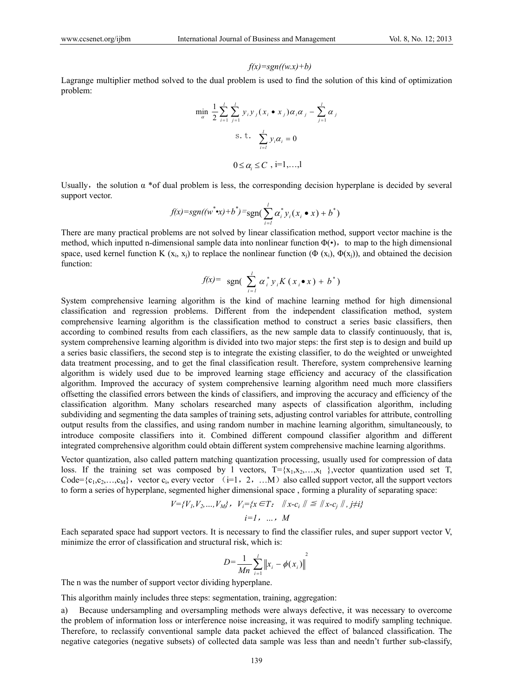## $f(x)=sgn((w.x)+b)$

Lagrange multiplier method solved to the dual problem is used to find the solution of this kind of optimization problem:

$$
\min_{\alpha} \frac{1}{2} \sum_{i=1}^{l} \sum_{j=1}^{l} y_{i} y_{j} (x_{i} \cdot x_{j}) \alpha_{i} \alpha_{j} - \sum_{j=1}^{l} \alpha_{j}
$$
  
s. t. 
$$
\sum_{i=1}^{l} y_{i} \alpha_{i} = 0
$$

$$
0 \le \alpha_{i} \le C, i=1,...,l
$$

Usually, the solution  $\alpha$  \*of dual problem is less, the corresponding decision hyperplane is decided by several support vector.

$$
f(x)=sgn((w^*\bullet x)+b^*)=sgn(\sum_{i=l}^l\alpha_i^*y_i(x_i\bullet x)+b^*)
$$

There are many practical problems are not solved by linear classification method, support vector machine is the method, which inputted n-dimensional sample data into nonlinear function  $\Phi(\cdot)$ , to map to the high dimensional space, used kernel function K (x<sub>i</sub>, x<sub>i</sub>) to replace the nonlinear function ( $\Phi$  (x<sub>i</sub>),  $\Phi$ (x<sub>i</sub>)), and obtained the decision function:

$$
f(x) = \text{sgn}(\sum_{i=1}^{l} \alpha_i^* y_i K(x_i \bullet x) + b^*)
$$

System comprehensive learning algorithm is the kind of machine learning method for high dimensional classification and regression problems. Different from the independent classification method, system comprehensive learning algorithm is the classification method to construct a series basic classifiers, then according to combined results from each classifiers, as the new sample data to classify continuously, that is, system comprehensive learning algorithm is divided into two major steps: the first step is to design and build up a series basic classifiers, the second step is to integrate the existing classifier, to do the weighted or unweighted data treatment processing, and to get the final classification result. Therefore, system comprehensive learning algorithm is widely used due to be improved learning stage efficiency and accuracy of the classification algorithm. Improved the accuracy of system comprehensive learning algorithm need much more classifiers offsetting the classified errors between the kinds of classifiers, and improving the accuracy and efficiency of the classification algorithm. Many scholars researched many aspects of classification algorithm, including subdividing and segmenting the data samples of training sets, adjusting control variables for attribute, controlling output results from the classifies, and using random number in machine learning algorithm, simultaneously, to introduce composite classifiers into it. Combined different compound classifier algorithm and different integrated comprehensive algorithm could obtain different system comprehensive machine learning algorithms.

Vector quantization, also called pattern matching quantization processing, usually used for compression of data loss. If the training set was composed by 1 vectors,  $T = \{x_1, x_2, \ldots, x_l\}$ , vector quantization used set T, Code= $\{c_1, c_2,...,c_M\}$ , vector c<sub>i</sub>, every vector (i=1, 2, …M) also called support vector, all the support vectors to form a series of hyperplane, segmented higher dimensional space , forming a plurality of separating space:

$$
V = \{V_1, V_2, ..., V_M\}, \quad V_i = \{x \in T: \quad ||x - c_i|| \le ||x - c_j||, j \ne i\}
$$
  
 $i = 1, ..., M$ 

Each separated space had support vectors. It is necessary to find the classifier rules, and super support vector V, minimize the error of classification and structural risk, which is:

$$
D = \frac{1}{Mn} \sum_{i=1}^{l} \|x_i - \phi(x_i)\|^2
$$

The n was the number of support vector dividing hyperplane.

This algorithm mainly includes three steps: segmentation, training, aggregation:

a) Because undersampling and oversampling methods were always defective, it was necessary to overcome the problem of information loss or interference noise increasing, it was required to modify sampling technique. Therefore, to reclassify conventional sample data packet achieved the effect of balanced classification. The negative categories (negative subsets) of collected data sample was less than and needn't further sub-classify,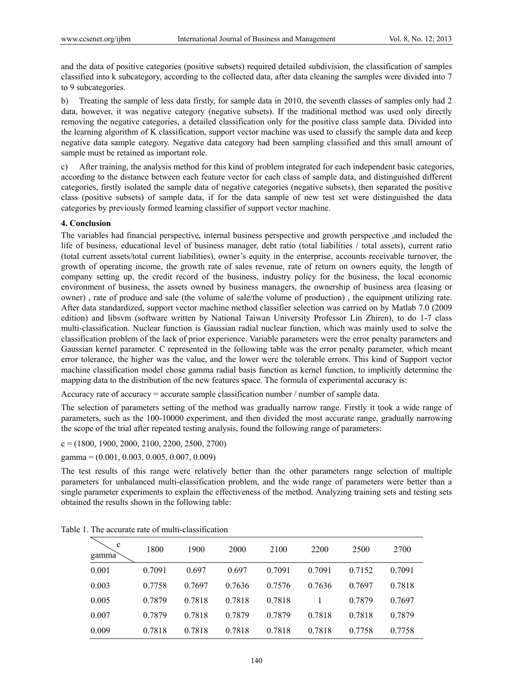and the data of positive categories (positive subsets) required detailed subdivision, the classification of samples classified into k subcategory, according to the collected data, after data cleaning the samples were divided into 7 to 9 subcategories.

b) Treating the sample of less data firstly, for sample data in 2010, the seventh classes of samples only had 2 data, however, it was negative category (negative subsets). If the traditional method was used only directly removing the negative categories, a detailed classification only for the positive class sample data. Divided into the learning algorithm of K classification, support vector machine was used to classify the sample data and keep negative data sample category. Negative data category had been sampling classified and this small amount of sample must be retained as important role.

c) After training, the analysis method for this kind of problem integrated for each independent basic categories, according to the distance between each feature vector for each class of sample data, and distinguished different categories, firstly isolated the sample data of negative categories (negative subsets), then separated the positive class (positive subsets) of sample data, if for the data sample of new test set were distinguished the data categories by previously formed learning classifier of support vector machine.

## **4. Conclusion**

The variables had financial perspective, internal business perspective and growth perspective ,and included the life of business, educational level of business manager, debt ratio (total liabilities / total assets), current ratio (total current assets/total current liabilities), owner's equity in the enterprise, accounts receivable turnover, the growth of operating income, the growth rate of sales revenue, rate of return on owners equity, the length of company setting up, the credit record of the business, industry policy for the business, the local economic environment of business, the assets owned by business managers, the ownership of business area (leasing or owner) , rate of produce and sale (the volume of sale/the volume of production) , the equipment utilizing rate. After data standardized, support vector machine method classifier selection was carried on by Matlab 7.0 (2009 edition) and libsvm (software written by National Taiwan University Professor Lin Zhiren), to do 1-7 class multi-classification. Nuclear function is Gaussian radial nuclear function, which was mainly used to solve the classification problem of the lack of prior experience. Variable parameters were the error penalty parameters and Gaussian kernel parameter. C represented in the following table was the error penalty parameter, which meant error tolerance, the higher was the value, and the lower were the tolerable errors. This kind of Support vector machine classification model chose gamma radial basis function as kernel function, to implicitly determine the mapping data to the distribution of the new features space. The formula of experimental accuracy is:

Accuracy rate of accuracy = accurate sample classification number  $/$  number of sample data.

The selection of parameters setting of the method was gradually narrow range. Firstly it took a wide range of parameters, such as the 100-10000 experiment, and then divided the most accurate range, gradually narrowing the scope of the trial after repeated testing analysis, found the following range of parameters:

 $c = (1800, 1900, 2000, 2100, 2200, 2500, 2700)$ 

 $gamma = (0.001, 0.003, 0.005, 0.007, 0.009)$ 

The test results of this range were relatively better than the other parameters range selection of multiple parameters for unbalanced multi-classification problem, and the wide range of parameters were better than a single parameter experiments to explain the effectiveness of the method. Analyzing training sets and testing sets obtained the results shown in the following table:

| $\mathbf c$<br>gamma | 1800   | 1900   | 2000   | 2100   | 2200   | 2500   | 2700   |
|----------------------|--------|--------|--------|--------|--------|--------|--------|
| 0.001                | 0.7091 | 0.697  | 0.697  | 0.7091 | 0.7091 | 0.7152 | 0.7091 |
| 0.003                | 0.7758 | 0.7697 | 0.7636 | 0.7576 | 0.7636 | 0.7697 | 0.7818 |
| 0.005                | 0.7879 | 0.7818 | 0.7818 | 0.7818 |        | 0.7879 | 0.7697 |
| 0.007                | 0.7879 | 0.7818 | 0.7879 | 0.7879 | 0.7818 | 0.7818 | 0.7879 |
| 0.009                | 0.7818 | 0.7818 | 0.7818 | 0.7818 | 0.7818 | 0.7758 | 0.7758 |

Table 1. The accurate rate of multi-classification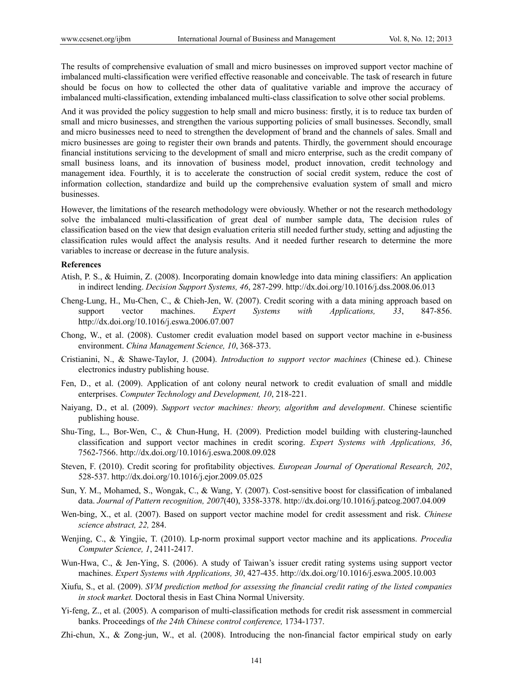The results of comprehensive evaluation of small and micro businesses on improved support vector machine of imbalanced multi-classification were verified effective reasonable and conceivable. The task of research in future should be focus on how to collected the other data of qualitative variable and improve the accuracy of imbalanced multi-classification, extending imbalanced multi-class classification to solve other social problems.

And it was provided the policy suggestion to help small and micro business: firstly, it is to reduce tax burden of small and micro businesses, and strengthen the various supporting policies of small businesses. Secondly, small and micro businesses need to need to strengthen the development of brand and the channels of sales. Small and micro businesses are going to register their own brands and patents. Thirdly, the government should encourage financial institutions servicing to the development of small and micro enterprise, such as the credit company of small business loans, and its innovation of business model, product innovation, credit technology and management idea. Fourthly, it is to accelerate the construction of social credit system, reduce the cost of information collection, standardize and build up the comprehensive evaluation system of small and micro businesses.

However, the limitations of the research methodology were obviously. Whether or not the research methodology solve the imbalanced multi-classification of great deal of number sample data, The decision rules of classification based on the view that design evaluation criteria still needed further study, setting and adjusting the classification rules would affect the analysis results. And it needed further research to determine the more variables to increase or decrease in the future analysis.

## **References**

- Atish, P. S., & Huimin, Z. (2008). Incorporating domain knowledge into data mining classifiers: An application in indirect lending. *Decision Support Systems, 46*, 287-299. http://dx.doi.org/10.1016/j.dss.2008.06.013
- Cheng-Lung, H., Mu-Chen, C., & Chieh-Jen, W. (2007). Credit scoring with a data mining approach based on support vector machines. *Expert Systems with Applications, 33*, 847-856. http://dx.doi.org/10.1016/j.eswa.2006.07.007
- Chong, W., et al. (2008). Customer credit evaluation model based on support vector machine in e-business environment. *China Management Science, 10*, 368-373.
- Cristianini, N., & Shawe-Taylor, J. (2004). *Introduction to support vector machines* (Chinese ed.). Chinese electronics industry publishing house.
- Fen, D., et al. (2009). Application of ant colony neural network to credit evaluation of small and middle enterprises. *Computer Technology and Development, 10*, 218-221.
- Naiyang, D., et al. (2009). *Support vector machines: theory, algorithm and development*. Chinese scientific publishing house.
- Shu-Ting, L., Bor-Wen, C., & Chun-Hung, H. (2009). Prediction model building with clustering-launched classification and support vector machines in credit scoring. *Expert Systems with Applications, 36*, 7562-7566. http://dx.doi.org/10.1016/j.eswa.2008.09.028
- Steven, F. (2010). Credit scoring for profitability objectives. *European Journal of Operational Research, 202*, 528-537. http://dx.doi.org/10.1016/j.ejor.2009.05.025
- Sun, Y. M., Mohamed, S., Wongak, C., & Wang, Y. (2007). Cost-sensitive boost for classification of imbalaned data. *Journal of Pattern recognition, 2007*(40), 3358-3378. http://dx.doi.org/10.1016/j.patcog.2007.04.009
- Wen-bing, X., et al. (2007). Based on support vector machine model for credit assessment and risk. *Chinese science abstract, 22,* 284.
- Wenjing, C., & Yingjie, T. (2010). Lp-norm proximal support vector machine and its applications. *Procedia Computer Science, 1*, 2411-2417.
- Wun-Hwa, C., & Jen-Ying, S. (2006). A study of Taiwan's issuer credit rating systems using support vector machines. *Expert Systems with Applications, 30*, 427-435. http://dx.doi.org/10.1016/j.eswa.2005.10.003
- Xiufu, S., et al. (2009). *SVM prediction method for assessing the financial credit rating of the listed companies in stock market.* Doctoral thesis in East China Normal University.
- Yi-feng, Z., et al. (2005). A comparison of multi-classification methods for credit risk assessment in commercial banks. Proceedings of *the 24th Chinese control conference,* 1734-1737.
- Zhi-chun, X., & Zong-jun, W., et al. (2008). Introducing the non-financial factor empirical study on early